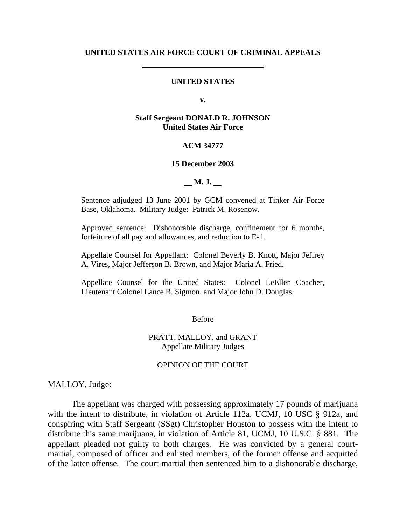### **UNITED STATES AIR FORCE COURT OF CRIMINAL APPEALS**

### **UNITED STATES**

**v.** 

### **Staff Sergeant DONALD R. JOHNSON United States Air Force**

### **ACM 34777**

### **15 December 2003**

**\_\_ M. J. \_\_** 

Sentence adjudged 13 June 2001 by GCM convened at Tinker Air Force Base, Oklahoma. Military Judge: Patrick M. Rosenow.

Approved sentence: Dishonorable discharge, confinement for 6 months, forfeiture of all pay and allowances, and reduction to E-1.

Appellate Counsel for Appellant: Colonel Beverly B. Knott, Major Jeffrey A. Vires, Major Jefferson B. Brown, and Major Maria A. Fried.

Appellate Counsel for the United States: Colonel LeEllen Coacher, Lieutenant Colonel Lance B. Sigmon, and Major John D. Douglas.

Before

PRATT, MALLOY, and GRANT Appellate Military Judges

### OPINION OF THE COURT

MALLOY, Judge:

The appellant was charged with possessing approximately 17 pounds of marijuana with the intent to distribute, in violation of Article 112a, UCMJ, 10 USC § 912a, and conspiring with Staff Sergeant (SSgt) Christopher Houston to possess with the intent to distribute this same marijuana, in violation of Article 81, UCMJ, 10 U.S.C. § 881. The appellant pleaded not guilty to both charges. He was convicted by a general courtmartial, composed of officer and enlisted members, of the former offense and acquitted of the latter offense. The court-martial then sentenced him to a dishonorable discharge,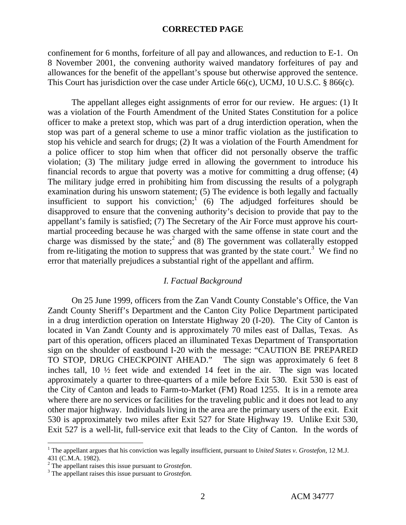confinement for 6 months, forfeiture of all pay and allowances, and reduction to E-1. On 8 November 2001, the convening authority waived mandatory forfeitures of pay and allowances for the benefit of the appellant's spouse but otherwise approved the sentence. This Court has jurisdiction over the case under Article 66(c), UCMJ, 10 U.S.C. § 866(c).

The appellant alleges eight assignments of error for our review. He argues: (1) It was a violation of the Fourth Amendment of the United States Constitution for a police officer to make a pretext stop, which was part of a drug interdiction operation, when the stop was part of a general scheme to use a minor traffic violation as the justification to stop his vehicle and search for drugs; (2) It was a violation of the Fourth Amendment for a police officer to stop him when that officer did not personally observe the traffic violation; (3) The military judge erred in allowing the government to introduce his financial records to argue that poverty was a motive for committing a drug offense; (4) The military judge erred in prohibiting him from discussing the results of a polygraph examination during his unsworn statement; (5) The evidence is both legally and factually insufficient to support his conviction;<sup>1</sup> (6) The adjudged forfeitures should be disapproved to ensure that the convening authority's decision to provide that pay to the appellant's family is satisfied; (7) The Secretary of the Air Force must approve his courtmartial proceeding because he was charged with the same offense in state court and the charge was dismissed by the state;<sup>2</sup> and (8) The government was collaterally estopped from re-litigating the motion to suppress that was granted by the state court.<sup>3</sup> We find no error that materially prejudices a substantial right of the appellant and affirm.

### *I. Factual Background*

On 25 June 1999, officers from the Zan Vandt County Constable's Office, the Van Zandt County Sheriff's Department and the Canton City Police Department participated in a drug interdiction operation on Interstate Highway 20 (I-20). The City of Canton is located in Van Zandt County and is approximately 70 miles east of Dallas, Texas. As part of this operation, officers placed an illuminated Texas Department of Transportation sign on the shoulder of eastbound I-20 with the message: "CAUTION BE PREPARED TO STOP, DRUG CHECKPOINT AHEAD." The sign was approximately 6 feet 8 inches tall, 10 ½ feet wide and extended 14 feet in the air. The sign was located approximately a quarter to three-quarters of a mile before Exit 530. Exit 530 is east of the City of Canton and leads to Farm-to-Market (FM) Road 1255. It is in a remote area where there are no services or facilities for the traveling public and it does not lead to any other major highway. Individuals living in the area are the primary users of the exit. Exit 530 is approximately two miles after Exit 527 for State Highway 19. Unlike Exit 530, Exit 527 is a well-lit, full-service exit that leads to the City of Canton. In the words of

 $\frac{1}{1}$  The appellant argues that his conviction was legally insufficient, pursuant to *United States v. Grostefon*, 12 M.J. 431 (C.M.A. 1982). 2

<sup>&</sup>lt;sup>2</sup> The appellant raises this issue pursuant to *Grostefon*.

The appellant raises this issue pursuant to *Grostefon.*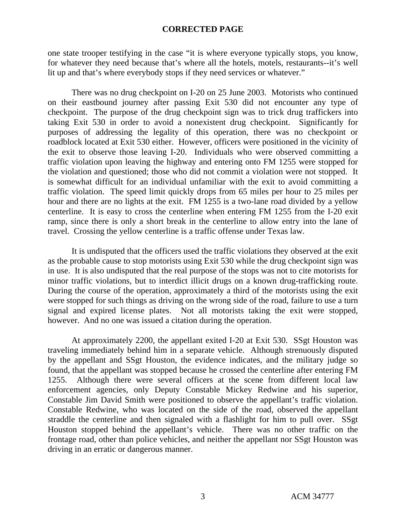one state trooper testifying in the case "it is where everyone typically stops, you know, for whatever they need because that's where all the hotels, motels, restaurants--it's well lit up and that's where everybody stops if they need services or whatever."

There was no drug checkpoint on I-20 on 25 June 2003. Motorists who continued on their eastbound journey after passing Exit 530 did not encounter any type of checkpoint. The purpose of the drug checkpoint sign was to trick drug traffickers into taking Exit 530 in order to avoid a nonexistent drug checkpoint. Significantly for purposes of addressing the legality of this operation, there was no checkpoint or roadblock located at Exit 530 either. However, officers were positioned in the vicinity of the exit to observe those leaving I-20. Individuals who were observed committing a traffic violation upon leaving the highway and entering onto FM 1255 were stopped for the violation and questioned; those who did not commit a violation were not stopped. It is somewhat difficult for an individual unfamiliar with the exit to avoid committing a traffic violation. The speed limit quickly drops from 65 miles per hour to 25 miles per hour and there are no lights at the exit. FM 1255 is a two-lane road divided by a yellow centerline. It is easy to cross the centerline when entering FM 1255 from the I-20 exit ramp, since there is only a short break in the centerline to allow entry into the lane of travel. Crossing the yellow centerline is a traffic offense under Texas law.

It is undisputed that the officers used the traffic violations they observed at the exit as the probable cause to stop motorists using Exit 530 while the drug checkpoint sign was in use. It is also undisputed that the real purpose of the stops was not to cite motorists for minor traffic violations, but to interdict illicit drugs on a known drug-trafficking route. During the course of the operation, approximately a third of the motorists using the exit were stopped for such things as driving on the wrong side of the road, failure to use a turn signal and expired license plates. Not all motorists taking the exit were stopped, however. And no one was issued a citation during the operation.

At approximately 2200, the appellant exited I-20 at Exit 530. SSgt Houston was traveling immediately behind him in a separate vehicle. Although strenuously disputed by the appellant and SSgt Houston, the evidence indicates, and the military judge so found, that the appellant was stopped because he crossed the centerline after entering FM 1255. Although there were several officers at the scene from different local law enforcement agencies, only Deputy Constable Mickey Redwine and his superior, Constable Jim David Smith were positioned to observe the appellant's traffic violation. Constable Redwine, who was located on the side of the road, observed the appellant straddle the centerline and then signaled with a flashlight for him to pull over. SSgt Houston stopped behind the appellant's vehicle. There was no other traffic on the frontage road, other than police vehicles, and neither the appellant nor SSgt Houston was driving in an erratic or dangerous manner.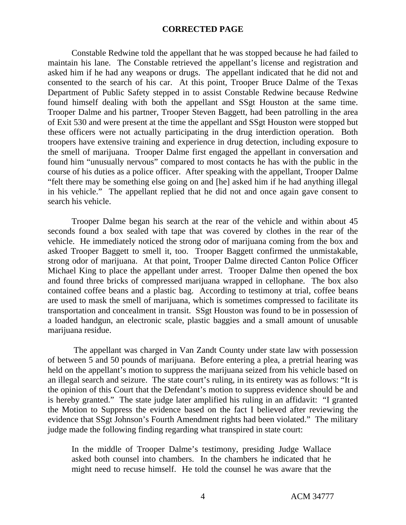Constable Redwine told the appellant that he was stopped because he had failed to maintain his lane. The Constable retrieved the appellant's license and registration and asked him if he had any weapons or drugs. The appellant indicated that he did not and consented to the search of his car. At this point, Trooper Bruce Dalme of the Texas Department of Public Safety stepped in to assist Constable Redwine because Redwine found himself dealing with both the appellant and SSgt Houston at the same time. Trooper Dalme and his partner, Trooper Steven Baggett, had been patrolling in the area of Exit 530 and were present at the time the appellant and SSgt Houston were stopped but these officers were not actually participating in the drug interdiction operation. Both troopers have extensive training and experience in drug detection, including exposure to the smell of marijuana. Trooper Dalme first engaged the appellant in conversation and found him "unusually nervous" compared to most contacts he has with the public in the course of his duties as a police officer. After speaking with the appellant, Trooper Dalme "felt there may be something else going on and [he] asked him if he had anything illegal in his vehicle." The appellant replied that he did not and once again gave consent to search his vehicle.

Trooper Dalme began his search at the rear of the vehicle and within about 45 seconds found a box sealed with tape that was covered by clothes in the rear of the vehicle. He immediately noticed the strong odor of marijuana coming from the box and asked Trooper Baggett to smell it, too. Trooper Baggett confirmed the unmistakable, strong odor of marijuana. At that point, Trooper Dalme directed Canton Police Officer Michael King to place the appellant under arrest. Trooper Dalme then opened the box and found three bricks of compressed marijuana wrapped in cellophane. The box also contained coffee beans and a plastic bag. According to testimony at trial, coffee beans are used to mask the smell of marijuana, which is sometimes compressed to facilitate its transportation and concealment in transit. SSgt Houston was found to be in possession of a loaded handgun, an electronic scale, plastic baggies and a small amount of unusable marijuana residue.

The appellant was charged in Van Zandt County under state law with possession of between 5 and 50 pounds of marijuana. Before entering a plea, a pretrial hearing was held on the appellant's motion to suppress the marijuana seized from his vehicle based on an illegal search and seizure. The state court's ruling, in its entirety was as follows: "It is the opinion of this Court that the Defendant's motion to suppress evidence should be and is hereby granted." The state judge later amplified his ruling in an affidavit: "I granted the Motion to Suppress the evidence based on the fact I believed after reviewing the evidence that SSgt Johnson's Fourth Amendment rights had been violated." The military judge made the following finding regarding what transpired in state court:

In the middle of Trooper Dalme's testimony, presiding Judge Wallace asked both counsel into chambers. In the chambers he indicated that he might need to recuse himself. He told the counsel he was aware that the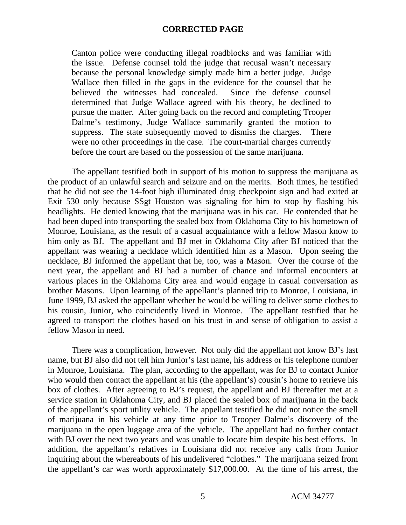Canton police were conducting illegal roadblocks and was familiar with the issue. Defense counsel told the judge that recusal wasn't necessary because the personal knowledge simply made him a better judge. Judge Wallace then filled in the gaps in the evidence for the counsel that he believed the witnesses had concealed. Since the defense counsel determined that Judge Wallace agreed with his theory, he declined to pursue the matter. After going back on the record and completing Trooper Dalme's testimony, Judge Wallace summarily granted the motion to suppress. The state subsequently moved to dismiss the charges. There were no other proceedings in the case. The court-martial charges currently before the court are based on the possession of the same marijuana.

The appellant testified both in support of his motion to suppress the marijuana as the product of an unlawful search and seizure and on the merits. Both times, he testified that he did not see the 14-foot high illuminated drug checkpoint sign and had exited at Exit 530 only because SSgt Houston was signaling for him to stop by flashing his headlights. He denied knowing that the marijuana was in his car. He contended that he had been duped into transporting the sealed box from Oklahoma City to his hometown of Monroe, Louisiana, as the result of a casual acquaintance with a fellow Mason know to him only as BJ. The appellant and BJ met in Oklahoma City after BJ noticed that the appellant was wearing a necklace which identified him as a Mason. Upon seeing the necklace, BJ informed the appellant that he, too, was a Mason. Over the course of the next year, the appellant and BJ had a number of chance and informal encounters at various places in the Oklahoma City area and would engage in casual conversation as brother Masons. Upon learning of the appellant's planned trip to Monroe, Louisiana, in June 1999, BJ asked the appellant whether he would be willing to deliver some clothes to his cousin, Junior, who coincidently lived in Monroe. The appellant testified that he agreed to transport the clothes based on his trust in and sense of obligation to assist a fellow Mason in need.

There was a complication, however. Not only did the appellant not know BJ's last name, but BJ also did not tell him Junior's last name, his address or his telephone number in Monroe, Louisiana. The plan, according to the appellant, was for BJ to contact Junior who would then contact the appellant at his (the appellant's) cousin's home to retrieve his box of clothes. After agreeing to BJ's request, the appellant and BJ thereafter met at a service station in Oklahoma City, and BJ placed the sealed box of marijuana in the back of the appellant's sport utility vehicle. The appellant testified he did not notice the smell of marijuana in his vehicle at any time prior to Trooper Dalme's discovery of the marijuana in the open luggage area of the vehicle. The appellant had no further contact with BJ over the next two years and was unable to locate him despite his best efforts. In addition, the appellant's relatives in Louisiana did not receive any calls from Junior inquiring about the whereabouts of his undelivered "clothes." The marijuana seized from the appellant's car was worth approximately \$17,000.00. At the time of his arrest, the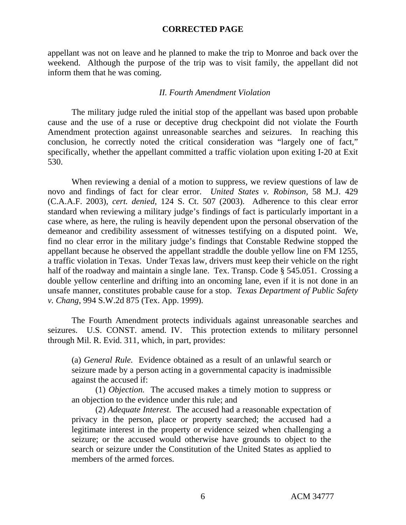appellant was not on leave and he planned to make the trip to Monroe and back over the weekend. Although the purpose of the trip was to visit family, the appellant did not inform them that he was coming.

## *II. Fourth Amendment Violation*

The military judge ruled the initial stop of the appellant was based upon probable cause and the use of a ruse or deceptive drug checkpoint did not violate the Fourth Amendment protection against unreasonable searches and seizures. In reaching this conclusion, he correctly noted the critical consideration was "largely one of fact," specifically, whether the appellant committed a traffic violation upon exiting I-20 at Exit 530.

When reviewing a denial of a motion to suppress, we review questions of law de novo and findings of fact for clear error. *United States v. Robinson,* 58 M.J. 429 (C.A.A.F. 2003), *cert. denied*, 124 S. Ct. 507 (2003). Adherence to this clear error standard when reviewing a military judge's findings of fact is particularly important in a case where, as here, the ruling is heavily dependent upon the personal observation of the demeanor and credibility assessment of witnesses testifying on a disputed point. We, find no clear error in the military judge's findings that Constable Redwine stopped the appellant because he observed the appellant straddle the double yellow line on FM 1255, a traffic violation in Texas. Under Texas law, drivers must keep their vehicle on the right half of the roadway and maintain a single lane. Tex. Transp. Code § 545.051. Crossing a double yellow centerline and drifting into an oncoming lane, even if it is not done in an unsafe manner, constitutes probable cause for a stop. *Texas Department of Public Safety v. Chang*, 994 S.W.2d 875 (Tex. App. 1999).

The Fourth Amendment protects individuals against unreasonable searches and seizures. U.S. CONST. amend. IV. This protection extends to military personnel through Mil. R. Evid. 311, which, in part, provides:

(a) *General Rule.* Evidence obtained as a result of an unlawful search or seizure made by a person acting in a governmental capacity is inadmissible against the accused if:

(1) *Objection.* The accused makes a timely motion to suppress or an objection to the evidence under this rule; and

(2) *Adequate Interest*. The accused had a reasonable expectation of privacy in the person, place or property searched; the accused had a legitimate interest in the property or evidence seized when challenging a seizure; or the accused would otherwise have grounds to object to the search or seizure under the Constitution of the United States as applied to members of the armed forces.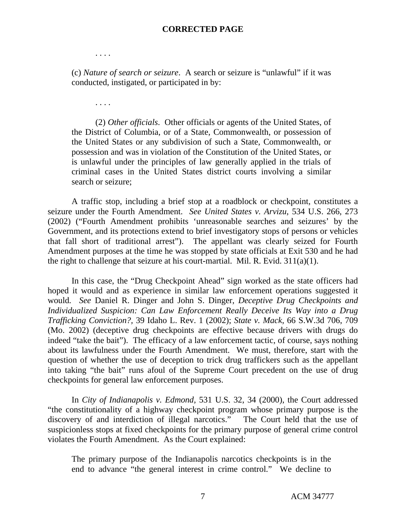. . . .

(c) *Nature of search or seizure*. A search or seizure is "unlawful" if it was conducted, instigated, or participated in by:

. . . .

(2) *Other officials*. Other officials or agents of the United States, of the District of Columbia, or of a State, Commonwealth, or possession of the United States or any subdivision of such a State, Commonwealth, or possession and was in violation of the Constitution of the United States, or is unlawful under the principles of law generally applied in the trials of criminal cases in the United States district courts involving a similar search or seizure;

A traffic stop, including a brief stop at a roadblock or checkpoint, constitutes a seizure under the Fourth Amendment. *See United States v. Arvizu*, 534 U.S. 266, 273 (2002) ("Fourth Amendment prohibits 'unreasonable searches and seizures' by the Government, and its protections extend to brief investigatory stops of persons or vehicles that fall short of traditional arrest"). The appellant was clearly seized for Fourth Amendment purposes at the time he was stopped by state officials at Exit 530 and he had the right to challenge that seizure at his court-martial. Mil. R. Evid. 311(a)(1).

In this case, the "Drug Checkpoint Ahead" sign worked as the state officers had hoped it would and as experience in similar law enforcement operations suggested it would*. See* Daniel R. Dinger and John S. Dinger, *Deceptive Drug Checkpoints and Individualized Suspicion: Can Law Enforcement Really Deceive Its Way into a Drug Trafficking Conviction?,* 39 Idaho L. Rev. 1 (2002); *State v. Mack*, 66 S.W.3d 706, 709 (Mo. 2002) (deceptive drug checkpoints are effective because drivers with drugs do indeed "take the bait"). The efficacy of a law enforcement tactic, of course, says nothing about its lawfulness under the Fourth Amendment. We must, therefore, start with the question of whether the use of deception to trick drug traffickers such as the appellant into taking "the bait" runs afoul of the Supreme Court precedent on the use of drug checkpoints for general law enforcement purposes.

In *City of Indianapolis v. Edmond,* 531 U.S. 32, 34 (2000), the Court addressed "the constitutionality of a highway checkpoint program whose primary purpose is the discovery of and interdiction of illegal narcotics." The Court held that the use of suspicionless stops at fixed checkpoints for the primary purpose of general crime control violates the Fourth Amendment. As the Court explained:

The primary purpose of the Indianapolis narcotics checkpoints is in the end to advance "the general interest in crime control." We decline to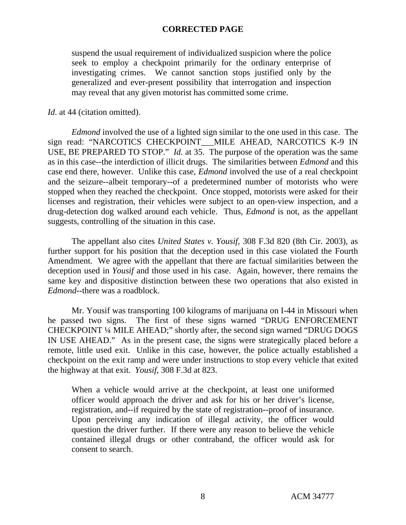suspend the usual requirement of individualized suspicion where the police seek to employ a checkpoint primarily for the ordinary enterprise of investigating crimes. We cannot sanction stops justified only by the generalized and ever-present possibility that interrogation and inspection may reveal that any given motorist has committed some crime.

*Id.* at 44 (citation omitted).

*Edmond* involved the use of a lighted sign similar to the one used in this case. The sign read: "NARCOTICS CHECKPOINT\_\_\_MILE AHEAD, NARCOTICS K-9 IN USE, BE PREPARED TO STOP." *Id.* at 35. The purpose of the operation was the same as in this case--the interdiction of illicit drugs. The similarities between *Edmond* and this case end there, however. Unlike this case, *Edmond* involved the use of a real checkpoint and the seizure--albeit temporary--of a predetermined number of motorists who were stopped when they reached the checkpoint. Once stopped, motorists were asked for their licenses and registration, their vehicles were subject to an open-view inspection, and a drug-detection dog walked around each vehicle. Thus*, Edmond* is not, as the appellant suggests, controlling of the situation in this case.

The appellant also cites *United States v. Yousif*, 308 F.3d 820 (8th Cir. 2003), as further support for his position that the deception used in this case violated the Fourth Amendment. We agree with the appellant that there are factual similarities between the deception used in *Yousif* and those used in his case. Again, however, there remains the same key and dispositive distinction between these two operations that also existed in *Edmond--*there was a roadblock.

Mr. Yousif was transporting 100 kilograms of marijuana on I-44 in Missouri when he passed two signs. The first of these signs warned "DRUG ENFORCEMENT CHECKPOINT ¼ MILE AHEAD;" shortly after, the second sign warned "DRUG DOGS IN USE AHEAD." As in the present case, the signs were strategically placed before a remote, little used exit. Unlike in this case, however, the police actually established a checkpoint on the exit ramp and were under instructions to stop every vehicle that exited the highway at that exit. *Yousif*, 308 F.3d at 823.

When a vehicle would arrive at the checkpoint, at least one uniformed officer would approach the driver and ask for his or her driver's license, registration, and--if required by the state of registration--proof of insurance. Upon perceiving any indication of illegal activity, the officer would question the driver further. If there were any reason to believe the vehicle contained illegal drugs or other contraband, the officer would ask for consent to search.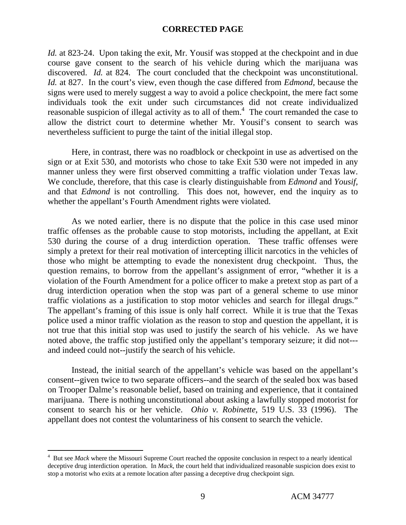*Id.* at 823-24. Upon taking the exit, Mr. Yousif was stopped at the checkpoint and in due course gave consent to the search of his vehicle during which the marijuana was discovered. *Id.* at 824. The court concluded that the checkpoint was unconstitutional. *Id.* at 827. In the court's view, even though the case differed from *Edmond,* because the signs were used to merely suggest a way to avoid a police checkpoint, the mere fact some individuals took the exit under such circumstances did not create individualized reasonable suspicion of illegal activity as to all of them.<sup>4</sup> The court remanded the case to allow the district court to determine whether Mr. Yousif's consent to search was nevertheless sufficient to purge the taint of the initial illegal stop.

Here, in contrast, there was no roadblock or checkpoint in use as advertised on the sign or at Exit 530, and motorists who chose to take Exit 530 were not impeded in any manner unless they were first observed committing a traffic violation under Texas law. We conclude, therefore, that this case is clearly distinguishable from *Edmond* and *Yousif,* and that *Edmond* is not controlling. This does not, however, end the inquiry as to whether the appellant's Fourth Amendment rights were violated.

As we noted earlier, there is no dispute that the police in this case used minor traffic offenses as the probable cause to stop motorists, including the appellant, at Exit 530 during the course of a drug interdiction operation. These traffic offenses were simply a pretext for their real motivation of intercepting illicit narcotics in the vehicles of those who might be attempting to evade the nonexistent drug checkpoint. Thus, the question remains, to borrow from the appellant's assignment of error, "whether it is a violation of the Fourth Amendment for a police officer to make a pretext stop as part of a drug interdiction operation when the stop was part of a general scheme to use minor traffic violations as a justification to stop motor vehicles and search for illegal drugs." The appellant's framing of this issue is only half correct. While it is true that the Texas police used a minor traffic violation as the reason to stop and question the appellant, it is not true that this initial stop was used to justify the search of his vehicle. As we have noted above, the traffic stop justified only the appellant's temporary seizure; it did not-- and indeed could not--justify the search of his vehicle.

Instead, the initial search of the appellant's vehicle was based on the appellant's consent--given twice to two separate officers--and the search of the sealed box was based on Trooper Dalme's reasonable belief, based on training and experience, that it contained marijuana. There is nothing unconstitutional about asking a lawfully stopped motorist for consent to search his or her vehicle. *Ohio v. Robinette*, 519 U.S. 33 (1996). The appellant does not contest the voluntariness of his consent to search the vehicle.

 $\frac{1}{4}$ <sup>4</sup> But see *Mack* where the Missouri Supreme Court reached the opposite conclusion in respect to a nearly identical deceptive drug interdiction operation. In *Mack*, the court held that individualized reasonable suspicion does exist to stop a motorist who exits at a remote location after passing a deceptive drug checkpoint sign.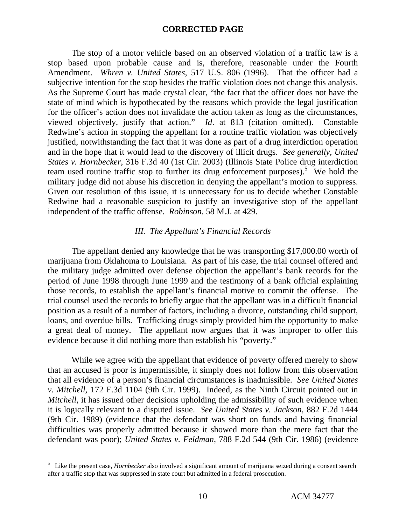The stop of a motor vehicle based on an observed violation of a traffic law is a stop based upon probable cause and is, therefore, reasonable under the Fourth Amendment. *Whren v. United States*, 517 U.S. 806 (1996). That the officer had a subjective intention for the stop besides the traffic violation does not change this analysis. As the Supreme Court has made crystal clear, "the fact that the officer does not have the state of mind which is hypothecated by the reasons which provide the legal justification for the officer's action does not invalidate the action taken as long as the circumstances, viewed objectively, justify that action." *Id*. at 813 (citation omitted). Constable Redwine's action in stopping the appellant for a routine traffic violation was objectively justified, notwithstanding the fact that it was done as part of a drug interdiction operation and in the hope that it would lead to the discovery of illicit drugs. *See generally*, *United States v. Hornbecker*, 316 F.3d 40 (1st Cir. 2003) (Illinois State Police drug interdiction team used routine traffic stop to further its drug enforcement purposes).<sup>5</sup> We hold the military judge did not abuse his discretion in denying the appellant's motion to suppress. Given our resolution of this issue, it is unnecessary for us to decide whether Constable Redwine had a reasonable suspicion to justify an investigative stop of the appellant independent of the traffic offense. *Robinson,* 58 M.J. at 429.

### *III. The Appellant's Financial Records*

The appellant denied any knowledge that he was transporting \$17,000.00 worth of marijuana from Oklahoma to Louisiana. As part of his case, the trial counsel offered and the military judge admitted over defense objection the appellant's bank records for the period of June 1998 through June 1999 and the testimony of a bank official explaining those records, to establish the appellant's financial motive to commit the offense. The trial counsel used the records to briefly argue that the appellant was in a difficult financial position as a result of a number of factors, including a divorce, outstanding child support, loans, and overdue bills. Trafficking drugs simply provided him the opportunity to make a great deal of money. The appellant now argues that it was improper to offer this evidence because it did nothing more than establish his "poverty."

While we agree with the appellant that evidence of poverty offered merely to show that an accused is poor is impermissible, it simply does not follow from this observation that all evidence of a person's financial circumstances is inadmissible. *See United States v. Mitchell,* 172 F.3d 1104 (9th Cir. 1999). Indeed, as the Ninth Circuit pointed out in *Mitchell*, it has issued other decisions upholding the admissibility of such evidence when it is logically relevant to a disputed issue. *See United States v. Jackson*, 882 F.2d 1444 (9th Cir. 1989) (evidence that the defendant was short on funds and having financial difficulties was properly admitted because it showed more than the mere fact that the defendant was poor); *United States v. Feldman*, 788 F.2d 544 (9th Cir. 1986) (evidence

 $\frac{1}{5}$ <sup>5</sup> Like the present case, *Hornbecker* also involved a significant amount of marijuana seized during a consent search after a traffic stop that was suppressed in state court but admitted in a federal prosecution.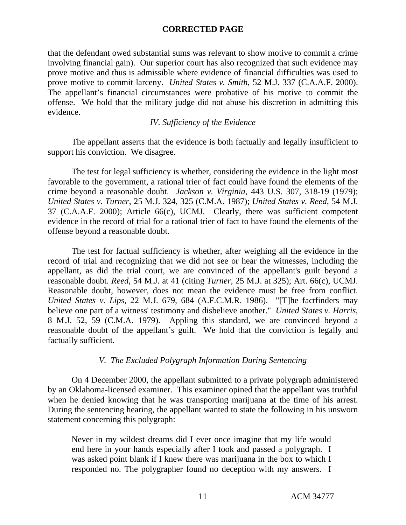that the defendant owed substantial sums was relevant to show motive to commit a crime involving financial gain). Our superior court has also recognized that such evidence may prove motive and thus is admissible where evidence of financial difficulties was used to prove motive to commit larceny. *United States v. Smith*, 52 M.J. 337 (C.A.A.F. 2000). The appellant's financial circumstances were probative of his motive to commit the offense. We hold that the military judge did not abuse his discretion in admitting this evidence.

# *IV. Sufficiency of the Evidence*

The appellant asserts that the evidence is both factually and legally insufficient to support his conviction. We disagree.

The test for legal sufficiency is whether, considering the evidence in the light most favorable to the government, a rational trier of fact could have found the elements of the crime beyond a reasonable doubt. *Jackson v. Virginia*, 443 U.S. 307, 318-19 (1979); *United States v. Turner*, 25 M.J. 324, 325 (C.M.A. 1987); *United States v. Reed*, 54 M.J. 37 (C.A.A.F. 2000); Article 66(c), UCMJ. Clearly, there was sufficient competent evidence in the record of trial for a rational trier of fact to have found the elements of the offense beyond a reasonable doubt.

The test for factual sufficiency is whether, after weighing all the evidence in the record of trial and recognizing that we did not see or hear the witnesses, including the appellant, as did the trial court, we are convinced of the appellant's guilt beyond a reasonable doubt. *Reed*, 54 M.J. at 41 (citing *Turner*, 25 M.J. at 325); Art. 66(c), UCMJ. Reasonable doubt, however, does not mean the evidence must be free from conflict. *United States v. Lips,* 22 M.J. 679, 684 (A.F.C.M.R. 1986). "[T]he factfinders may believe one part of a witness' testimony and disbelieve another." *United States v. Harris*, 8 M.J. 52, 59 (C.M.A. 1979). Appling this standard, we are convinced beyond a reasonable doubt of the appellant's guilt. We hold that the conviction is legally and factually sufficient.

# *V. The Excluded Polygraph Information During Sentencing*

On 4 December 2000, the appellant submitted to a private polygraph administered by an Oklahoma-licensed examiner. This examiner opined that the appellant was truthful when he denied knowing that he was transporting marijuana at the time of his arrest. During the sentencing hearing, the appellant wanted to state the following in his unsworn statement concerning this polygraph:

Never in my wildest dreams did I ever once imagine that my life would end here in your hands especially after I took and passed a polygraph. I was asked point blank if I knew there was marijuana in the box to which I responded no. The polygrapher found no deception with my answers. I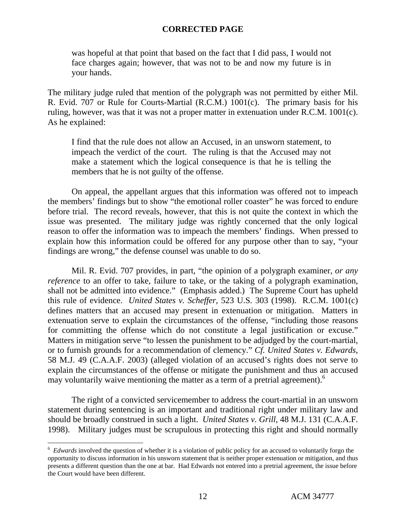was hopeful at that point that based on the fact that I did pass, I would not face charges again; however, that was not to be and now my future is in your hands.

The military judge ruled that mention of the polygraph was not permitted by either Mil. R. Evid. 707 or Rule for Courts-Martial (R.C.M.) 1001(c). The primary basis for his ruling, however, was that it was not a proper matter in extenuation under R.C.M. 1001(c). As he explained:

I find that the rule does not allow an Accused, in an unsworn statement, to impeach the verdict of the court. The ruling is that the Accused may not make a statement which the logical consequence is that he is telling the members that he is not guilty of the offense.

On appeal, the appellant argues that this information was offered not to impeach the members' findings but to show "the emotional roller coaster" he was forced to endure before trial. The record reveals, however, that this is not quite the context in which the issue was presented. The military judge was rightly concerned that the only logical reason to offer the information was to impeach the members' findings. When pressed to explain how this information could be offered for any purpose other than to say, "your findings are wrong," the defense counsel was unable to do so.

Mil. R. Evid. 707 provides, in part, "the opinion of a polygraph examiner, *or any reference* to an offer to take, failure to take, or the taking of a polygraph examination, shall not be admitted into evidence." (Emphasis added.) The Supreme Court has upheld this rule of evidence. *United States v. Scheffer*, 523 U.S. 303 (1998). R.C.M. 1001(c) defines matters that an accused may present in extenuation or mitigation. Matters in extenuation serve to explain the circumstances of the offense, "including those reasons for committing the offense which do not constitute a legal justification or excuse." Matters in mitigation serve "to lessen the punishment to be adjudged by the court-martial, or to furnish grounds for a recommendation of clemency." *Cf. United States v. Edwards*, 58 M.J. 49 (C.A.A.F. 2003) (alleged violation of an accused's rights does not serve to explain the circumstances of the offense or mitigate the punishment and thus an accused may voluntarily waive mentioning the matter as a term of a pretrial agreement).<sup>6</sup>

The right of a convicted servicemember to address the court-martial in an unsworn statement during sentencing is an important and traditional right under military law and should be broadly construed in such a light. *United States v. Grill*, 48 M.J. 131 (C.A.A.F. 1998). Military judges must be scrupulous in protecting this right and should normally

 $\frac{1}{6}$ <sup>6</sup> Edwards involved the question of whether it is a violation of public policy for an accused to voluntarily forgo the opportunity to discuss information in his unsworn statement that is neither proper extenuation or mitigation, and thus presents a different question than the one at bar. Had Edwards not entered into a pretrial agreement, the issue before the Court would have been different.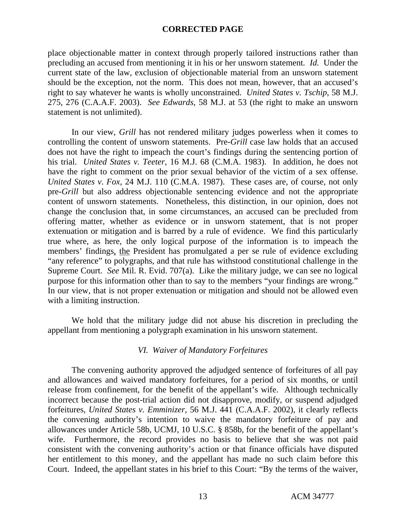place objectionable matter in context through properly tailored instructions rather than precluding an accused from mentioning it in his or her unsworn statement*. Id.* Under the current state of the law, exclusion of objectionable material from an unsworn statement should be the exception, not the norm. This does not mean, however, that an accused's right to say whatever he wants is wholly unconstrained. *United States v. Tschip*, 58 M.J. 275, 276 (C.A.A.F. 2003). *See Edwards*, 58 M.J. at 53 (the right to make an unsworn statement is not unlimited).

In our view, *Grill* has not rendered military judges powerless when it comes to controlling the content of unsworn statements. Pre*-Grill* case law holds that an accused does not have the right to impeach the court's findings during the sentencing portion of his trial. *United States v. Teeter*, 16 M.J. 68 (C.M.A. 1983). In addition, he does not have the right to comment on the prior sexual behavior of the victim of a sex offense. *United States v*. *Fox,* 24 M.J. 110 (C.M.A. 1987). These cases are, of course, not only pre*-Grill* but also address objectionable sentencing evidence and not the appropriate content of unsworn statements. Nonetheless, this distinction, in our opinion, does not change the conclusion that, in some circumstances, an accused can be precluded from offering matter, whether as evidence or in unsworn statement, that is not proper extenuation or mitigation and is barred by a rule of evidence. We find this particularly true where, as here, the only logical purpose of the information is to impeach the members' findings, the President has promulgated a per se rule of evidence excluding "any reference" to polygraphs, and that rule has withstood constitutional challenge in the Supreme Court. *See* Mil. R. Evid. 707(a). Like the military judge, we can see no logical purpose for this information other than to say to the members "your findings are wrong." In our view, that is not proper extenuation or mitigation and should not be allowed even with a limiting instruction.

We hold that the military judge did not abuse his discretion in precluding the appellant from mentioning a polygraph examination in his unsworn statement.

### *VI. Waiver of Mandatory Forfeitures*

The convening authority approved the adjudged sentence of forfeitures of all pay and allowances and waived mandatory forfeitures, for a period of six months, or until release from confinement, for the benefit of the appellant's wife. Although technically incorrect because the post-trial action did not disapprove, modify, or suspend adjudged forfeitures, *United States v. Emminizer*, 56 M.J. 441 (C.A.A.F. 2002), it clearly reflects the convening authority's intention to waive the mandatory forfeiture of pay and allowances under Article 58b, UCMJ, 10 U.S.C. § 858b, for the benefit of the appellant's wife. Furthermore, the record provides no basis to believe that she was not paid consistent with the convening authority's action or that finance officials have disputed her entitlement to this money, and the appellant has made no such claim before this Court. Indeed, the appellant states in his brief to this Court: "By the terms of the waiver,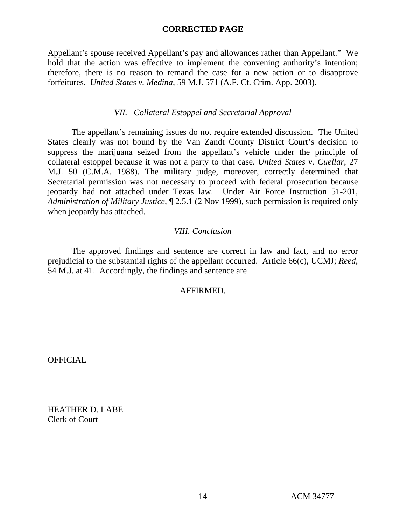Appellant's spouse received Appellant's pay and allowances rather than Appellant." We hold that the action was effective to implement the convening authority's intention; therefore, there is no reason to remand the case for a new action or to disapprove forfeitures. *United States v. Medina*, 59 M.J. 571 (A.F. Ct. Crim. App. 2003).

# *VII. Collateral Estoppel and Secretarial Approval*

The appellant's remaining issues do not require extended discussion. The United States clearly was not bound by the Van Zandt County District Court's decision to suppress the marijuana seized from the appellant's vehicle under the principle of collateral estoppel because it was not a party to that case. *United States v. Cuellar*, 27 M.J. 50 (C.M.A. 1988). The military judge, moreover, correctly determined that Secretarial permission was not necessary to proceed with federal prosecution because jeopardy had not attached under Texas law. Under Air Force Instruction 51-201, *Administration of Military Justice*, ¶ 2.5.1 (2 Nov 1999), such permission is required only when jeopardy has attached.

# *VIII. Conclusion*

The approved findings and sentence are correct in law and fact, and no error prejudicial to the substantial rights of the appellant occurred. Article 66(c), UCMJ; *Reed*, 54 M.J. at 41. Accordingly, the findings and sentence are

# AFFIRMED.

OFFICIAL

HEATHER D. LABE Clerk of Court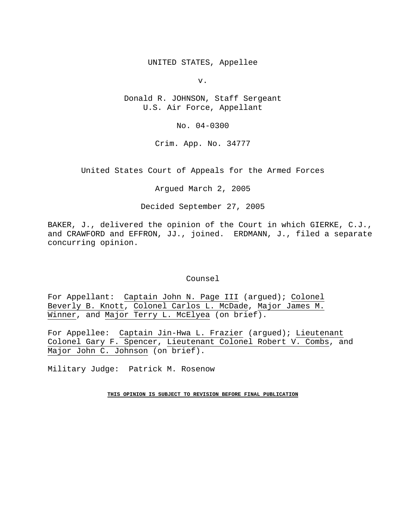UNITED STATES, Appellee

v.

Donald R. JOHNSON, Staff Sergeant U.S. Air Force, Appellant

No. 04-0300

Crim. App. No. 34777

United States Court of Appeals for the Armed Forces

Argued March 2, 2005

Decided September 27, 2005

BAKER, J., delivered the opinion of the Court in which GIERKE, C.J., and CRAWFORD and EFFRON, JJ., joined. ERDMANN, J., filed a separate concurring opinion.

#### Counsel

For Appellant: Captain John N. Page III (argued); Colonel Beverly B. Knott, Colonel Carlos L. McDade, Major James M. Winner, and Major Terry L. McElyea (on brief).

For Appellee: Captain Jin-Hwa L. Frazier (argued); Lieutenant Colonel Gary F. Spencer, Lieutenant Colonel Robert V. Combs, and Major John C. Johnson (on brief).

Military Judge: Patrick M. Rosenow

**THIS OPINION IS SUBJECT TO REVISION BEFORE FINAL PUBLICATION**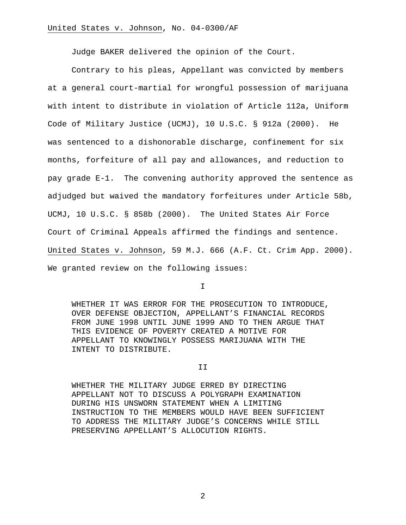Judge BAKER delivered the opinion of the Court.

 Contrary to his pleas, Appellant was convicted by members at a general court-martial for wrongful possession of marijuana with intent to distribute in violation of Article 112a, Uniform Code of Military Justice (UCMJ), 10 U.S.C. § 912a (2000). He was sentenced to a dishonorable discharge, confinement for six months, forfeiture of all pay and allowances, and reduction to pay grade E-1. The convening authority approved the sentence as adjudged but waived the mandatory forfeitures under Article 58b, UCMJ, 10 U.S.C. § 858b (2000). The United States Air Force Court of Criminal Appeals affirmed the findings and sentence. United States v. Johnson, 59 M.J. 666 (A.F. Ct. Crim App. 2000). We granted review on the following issues:

I

WHETHER IT WAS ERROR FOR THE PROSECUTION TO INTRODUCE, OVER DEFENSE OBJECTION, APPELLANT'S FINANCIAL RECORDS FROM JUNE 1998 UNTIL JUNE 1999 AND TO THEN ARGUE THAT THIS EVIDENCE OF POVERTY CREATED A MOTIVE FOR APPELLANT TO KNOWINGLY POSSESS MARIJUANA WITH THE INTENT TO DISTRIBUTE.

II

WHETHER THE MILITARY JUDGE ERRED BY DIRECTING APPELLANT NOT TO DISCUSS A POLYGRAPH EXAMINATION DURING HIS UNSWORN STATEMENT WHEN A LIMITING INSTRUCTION TO THE MEMBERS WOULD HAVE BEEN SUFFICIENT TO ADDRESS THE MILITARY JUDGE'S CONCERNS WHILE STILL PRESERVING APPELLANT'S ALLOCUTION RIGHTS.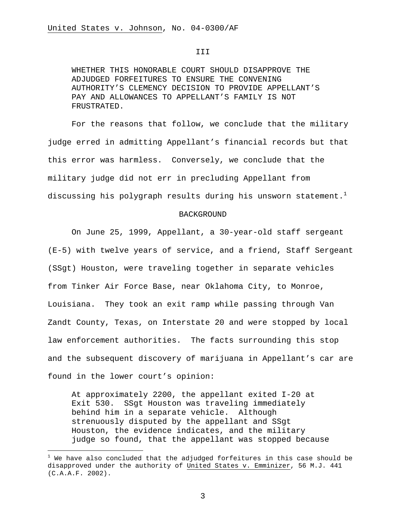#### III

WHETHER THIS HONORABLE COURT SHOULD DISAPPROVE THE ADJUDGED FORFEITURES TO ENSURE THE CONVENING AUTHORITY'S CLEMENCY DECISION TO PROVIDE APPELLANT'S PAY AND ALLOWANCES TO APPELLANT'S FAMILY IS NOT FRUSTRATED.

 For the reasons that follow, we conclude that the military judge erred in admitting Appellant's financial records but that this error was harmless. Conversely, we conclude that the military judge did not err in precluding Appellant from discussing his polygraph results during his unsworn statement.<sup>1</sup>

#### BACKGROUND

 On June 25, 1999, Appellant, a 30-year-old staff sergeant (E-5) with twelve years of service, and a friend, Staff Sergeant (SSgt) Houston, were traveling together in separate vehicles from Tinker Air Force Base, near Oklahoma City, to Monroe, Louisiana. They took an exit ramp while passing through Van Zandt County, Texas, on Interstate 20 and were stopped by local law enforcement authorities. The facts surrounding this stop and the subsequent discovery of marijuana in Appellant's car are found in the lower court's opinion:

At approximately 2200, the appellant exited I-20 at Exit 530. SSgt Houston was traveling immediately behind him in a separate vehicle. Although strenuously disputed by the appellant and SSgt Houston, the evidence indicates, and the military judge so found, that the appellant was stopped because

i

 $^1$  We have also concluded that the adjudged forfeitures in this case should be disapproved under the authority of United States v. Emminizer, 56 M.J. 441 (C.A.A.F. 2002).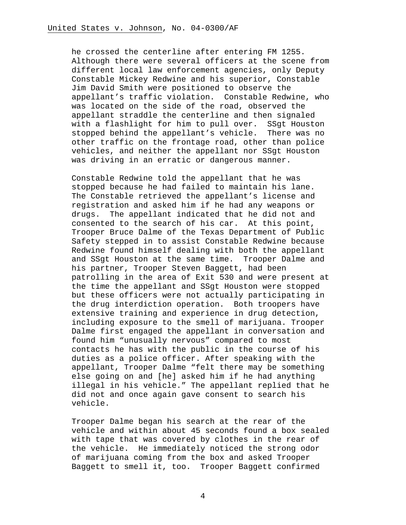he crossed the centerline after entering FM 1255. Although there were several officers at the scene from different local law enforcement agencies, only Deputy Constable Mickey Redwine and his superior, Constable Jim David Smith were positioned to observe the appellant's traffic violation. Constable Redwine, who was located on the side of the road, observed the appellant straddle the centerline and then signaled with a flashlight for him to pull over. SSgt Houston stopped behind the appellant's vehicle. There was no other traffic on the frontage road, other than police vehicles, and neither the appellant nor SSgt Houston was driving in an erratic or dangerous manner.

Constable Redwine told the appellant that he was stopped because he had failed to maintain his lane. The Constable retrieved the appellant's license and registration and asked him if he had any weapons or drugs. The appellant indicated that he did not and consented to the search of his car. At this point, Trooper Bruce Dalme of the Texas Department of Public Safety stepped in to assist Constable Redwine because Redwine found himself dealing with both the appellant and SSgt Houston at the same time. Trooper Dalme and his partner, Trooper Steven Baggett, had been patrolling in the area of Exit 530 and were present at the time the appellant and SSgt Houston were stopped but these officers were not actually participating in the drug interdiction operation. Both troopers have extensive training and experience in drug detection, including exposure to the smell of marijuana. Trooper Dalme first engaged the appellant in conversation and found him "unusually nervous" compared to most contacts he has with the public in the course of his duties as a police officer. After speaking with the appellant, Trooper Dalme "felt there may be something else going on and [he] asked him if he had anything illegal in his vehicle." The appellant replied that he did not and once again gave consent to search his vehicle.

Trooper Dalme began his search at the rear of the vehicle and within about 45 seconds found a box sealed with tape that was covered by clothes in the rear of the vehicle. He immediately noticed the strong odor of marijuana coming from the box and asked Trooper Baggett to smell it, too. Trooper Baggett confirmed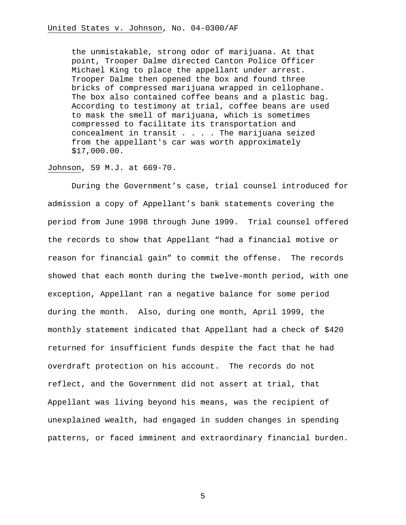the unmistakable, strong odor of marijuana. At that point, Trooper Dalme directed Canton Police Officer Michael King to place the appellant under arrest. Trooper Dalme then opened the box and found three bricks of compressed marijuana wrapped in cellophane. The box also contained coffee beans and a plastic bag. According to testimony at trial, coffee beans are used to mask the smell of marijuana, which is sometimes compressed to facilitate its transportation and concealment in transit  $\ldots$ . The marijuana seized from the appellant's car was worth approximately \$17,000.00.

### Johnson, 59 M.J. at 669-70.

 During the Government's case, trial counsel introduced for admission a copy of Appellant's bank statements covering the period from June 1998 through June 1999. Trial counsel offered the records to show that Appellant "had a financial motive or reason for financial gain" to commit the offense. The records showed that each month during the twelve-month period, with one exception, Appellant ran a negative balance for some period during the month. Also, during one month, April 1999, the monthly statement indicated that Appellant had a check of \$420 returned for insufficient funds despite the fact that he had overdraft protection on his account. The records do not reflect, and the Government did not assert at trial, that Appellant was living beyond his means, was the recipient of unexplained wealth, had engaged in sudden changes in spending patterns, or faced imminent and extraordinary financial burden.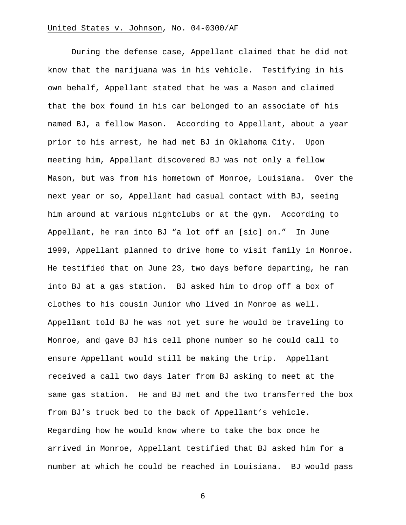During the defense case, Appellant claimed that he did not know that the marijuana was in his vehicle. Testifying in his own behalf, Appellant stated that he was a Mason and claimed that the box found in his car belonged to an associate of his named BJ, a fellow Mason. According to Appellant, about a year prior to his arrest, he had met BJ in Oklahoma City. Upon meeting him, Appellant discovered BJ was not only a fellow Mason, but was from his hometown of Monroe, Louisiana. Over the next year or so, Appellant had casual contact with BJ, seeing him around at various nightclubs or at the gym. According to Appellant, he ran into BJ "a lot off an [sic] on." In June 1999, Appellant planned to drive home to visit family in Monroe. He testified that on June 23, two days before departing, he ran into BJ at a gas station. BJ asked him to drop off a box of clothes to his cousin Junior who lived in Monroe as well. Appellant told BJ he was not yet sure he would be traveling to Monroe, and gave BJ his cell phone number so he could call to ensure Appellant would still be making the trip. Appellant received a call two days later from BJ asking to meet at the same gas station. He and BJ met and the two transferred the box from BJ's truck bed to the back of Appellant's vehicle. Regarding how he would know where to take the box once he arrived in Monroe, Appellant testified that BJ asked him for a number at which he could be reached in Louisiana. BJ would pass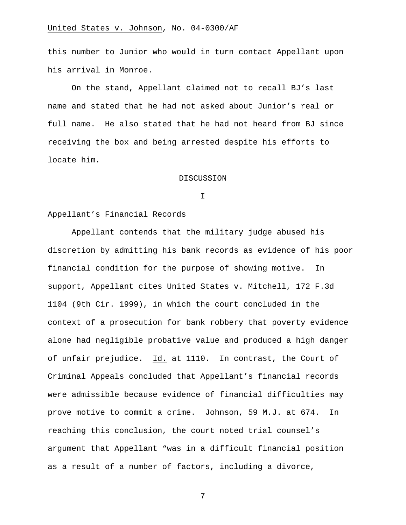this number to Junior who would in turn contact Appellant upon his arrival in Monroe.

On the stand, Appellant claimed not to recall BJ's last name and stated that he had not asked about Junior's real or full name. He also stated that he had not heard from BJ since receiving the box and being arrested despite his efforts to locate him.

#### DISCUSSION

I

### Appellant's Financial Records

Appellant contends that the military judge abused his discretion by admitting his bank records as evidence of his poor financial condition for the purpose of showing motive. In support, Appellant cites United States v. Mitchell, 172 F.3d 1104 (9th Cir. 1999), in which the court concluded in the context of a prosecution for bank robbery that poverty evidence alone had negligible probative value and produced a high danger of unfair prejudice. Id. at 1110. In contrast, the Court of Criminal Appeals concluded that Appellant's financial records were admissible because evidence of financial difficulties may prove motive to commit a crime. Johnson, 59 M.J. at 674. In reaching this conclusion, the court noted trial counsel's argument that Appellant "was in a difficult financial position as a result of a number of factors, including a divorce,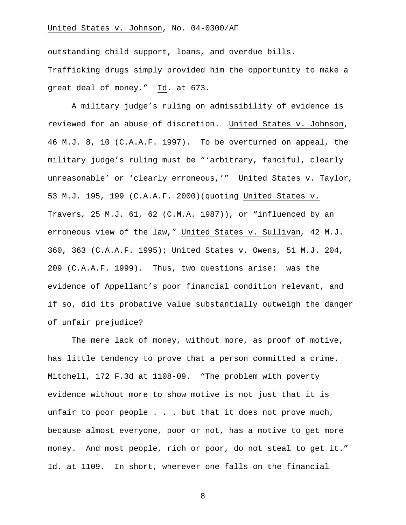outstanding child support, loans, and overdue bills. Trafficking drugs simply provided him the opportunity to make a great deal of money." Id. at 673.

A military judge's ruling on admissibility of evidence is reviewed for an abuse of discretion. United States v. Johnson, 46 M.J. 8, 10 (C.A.A.F. 1997). To be overturned on appeal, the military judge's ruling must be "'arbitrary, fanciful, clearly unreasonable' or 'clearly erroneous,'" United States v. Taylor*,* 53 M.J. 195, 199 (C.A.A.F. 2000)(quoting United States v. Travers*,* 25 M.J. 61, 62 (C.M.A. 1987)), or "influenced by an erroneous view of the law," United States v. Sullivan*,* 42 M.J. 360, 363 (C.A.A.F. 1995); United States v. Owens*,* 51 M.J. 204, 209 (C.A.A.F. 1999). Thus, two questions arise: was the evidence of Appellant's poor financial condition relevant, and if so, did its probative value substantially outweigh the danger of unfair prejudice?

 The mere lack of money, without more, as proof of motive, has little tendency to prove that a person committed a crime. Mitchell, 172 F.3d at 1108-09. "The problem with poverty evidence without more to show motive is not just that it is unfair to poor people . . . but that it does not prove much, because almost everyone, poor or not, has a motive to get more money. And most people, rich or poor, do not steal to get it." Id. at 1109. In short, wherever one falls on the financial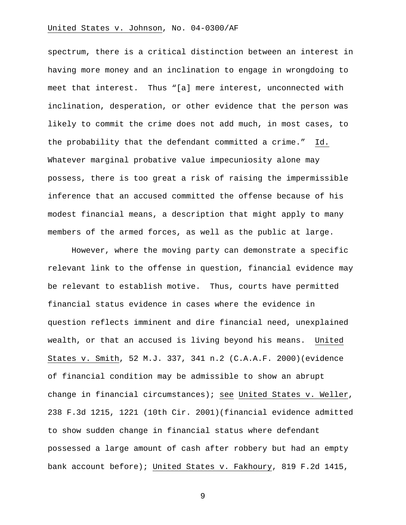spectrum, there is a critical distinction between an interest in having more money and an inclination to engage in wrongdoing to meet that interest. Thus "[a] mere interest, unconnected with inclination, desperation, or other evidence that the person was likely to commit the crime does not add much, in most cases, to the probability that the defendant committed a crime." Id. Whatever marginal probative value impecuniosity alone may possess, there is too great a risk of raising the impermissible inference that an accused committed the offense because of his modest financial means, a description that might apply to many members of the armed forces, as well as the public at large.

However, where the moving party can demonstrate a specific relevant link to the offense in question, financial evidence may be relevant to establish motive. Thus, courts have permitted financial status evidence in cases where the evidence in question reflects imminent and dire financial need, unexplained wealth, or that an accused is living beyond his means. United States v. Smith, 52 M.J. 337, 341 n.2 (C.A.A.F. 2000)(evidence of financial condition may be admissible to show an abrupt change in financial circumstances); see United States v. Weller, 238 F.3d 1215, 1221 (10th Cir. 2001)(financial evidence admitted to show sudden change in financial status where defendant possessed a large amount of cash after robbery but had an empty bank account before); United States v. Fakhoury, 819 F.2d 1415,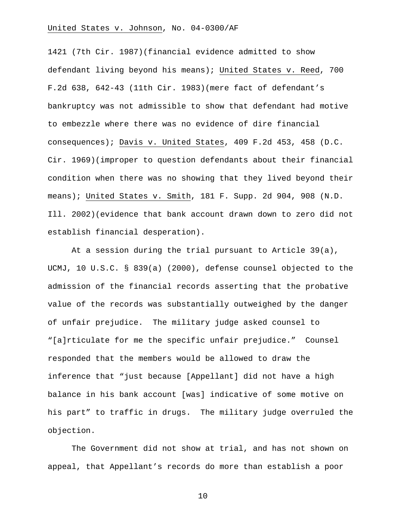1421 (7th Cir. 1987)(financial evidence admitted to show defendant living beyond his means); United States v. Reed, 700 F.2d 638, 642-43 (11th Cir. 1983)(mere fact of defendant's bankruptcy was not admissible to show that defendant had motive to embezzle where there was no evidence of dire financial consequences); Davis v. United States, 409 F.2d 453, 458 (D.C. Cir. 1969)(improper to question defendants about their financial condition when there was no showing that they lived beyond their means); United States v. Smith, 181 F. Supp. 2d 904, 908 (N.D. Ill. 2002)(evidence that bank account drawn down to zero did not establish financial desperation).

 At a session during the trial pursuant to Article 39(a), UCMJ, 10 U.S.C. § 839(a) (2000), defense counsel objected to the admission of the financial records asserting that the probative value of the records was substantially outweighed by the danger of unfair prejudice. The military judge asked counsel to "[a]rticulate for me the specific unfair prejudice." Counsel responded that the members would be allowed to draw the inference that "just because [Appellant] did not have a high balance in his bank account [was] indicative of some motive on his part" to traffic in drugs. The military judge overruled the objection.

The Government did not show at trial, and has not shown on appeal, that Appellant's records do more than establish a poor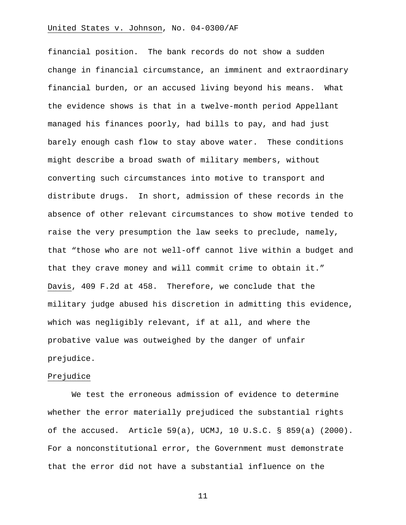financial position. The bank records do not show a sudden change in financial circumstance, an imminent and extraordinary financial burden, or an accused living beyond his means. What the evidence shows is that in a twelve-month period Appellant managed his finances poorly, had bills to pay, and had just barely enough cash flow to stay above water. These conditions might describe a broad swath of military members, without converting such circumstances into motive to transport and distribute drugs. In short, admission of these records in the absence of other relevant circumstances to show motive tended to raise the very presumption the law seeks to preclude, namely, that "those who are not well-off cannot live within a budget and that they crave money and will commit crime to obtain it." Davis, 409 F.2d at 458. Therefore, we conclude that the military judge abused his discretion in admitting this evidence, which was negligibly relevant, if at all, and where the probative value was outweighed by the danger of unfair prejudice.

### Prejudice

 We test the erroneous admission of evidence to determine whether the error materially prejudiced the substantial rights of the accused. Article 59(a), UCMJ, 10 U.S.C. § 859(a) (2000). For a nonconstitutional error, the Government must demonstrate that the error did not have a substantial influence on the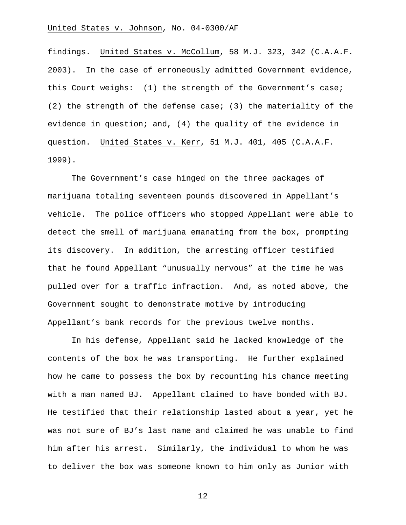findings. United States v. McCollum, 58 M.J. 323, 342 (C.A.A.F. 2003). In the case of erroneously admitted Government evidence, this Court weighs: (1) the strength of the Government's case; (2) the strength of the defense case; (3) the materiality of the evidence in question; and, (4) the quality of the evidence in question. United States v. Kerr, 51 M.J. 401, 405 (C.A.A.F. 1999).

The Government's case hinged on the three packages of marijuana totaling seventeen pounds discovered in Appellant's vehicle. The police officers who stopped Appellant were able to detect the smell of marijuana emanating from the box, prompting its discovery. In addition, the arresting officer testified that he found Appellant "unusually nervous" at the time he was pulled over for a traffic infraction. And, as noted above, the Government sought to demonstrate motive by introducing Appellant's bank records for the previous twelve months.

In his defense, Appellant said he lacked knowledge of the contents of the box he was transporting. He further explained how he came to possess the box by recounting his chance meeting with a man named BJ. Appellant claimed to have bonded with BJ. He testified that their relationship lasted about a year, yet he was not sure of BJ's last name and claimed he was unable to find him after his arrest. Similarly, the individual to whom he was to deliver the box was someone known to him only as Junior with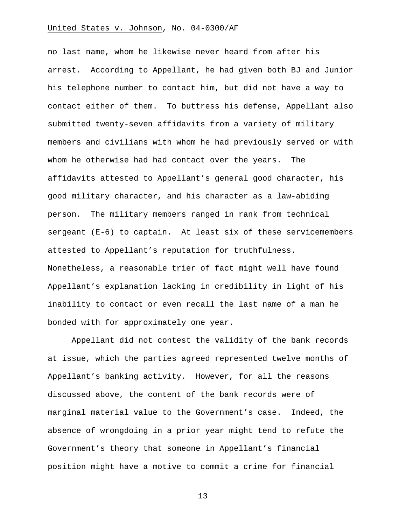no last name, whom he likewise never heard from after his arrest. According to Appellant, he had given both BJ and Junior his telephone number to contact him, but did not have a way to contact either of them. To buttress his defense, Appellant also submitted twenty-seven affidavits from a variety of military members and civilians with whom he had previously served or with whom he otherwise had had contact over the years. The affidavits attested to Appellant's general good character, his good military character, and his character as a law-abiding person. The military members ranged in rank from technical sergeant (E-6) to captain. At least six of these servicemembers attested to Appellant's reputation for truthfulness. Nonetheless, a reasonable trier of fact might well have found Appellant's explanation lacking in credibility in light of his inability to contact or even recall the last name of a man he bonded with for approximately one year.

Appellant did not contest the validity of the bank records at issue, which the parties agreed represented twelve months of Appellant's banking activity. However, for all the reasons discussed above, the content of the bank records were of marginal material value to the Government's case. Indeed, the absence of wrongdoing in a prior year might tend to refute the Government's theory that someone in Appellant's financial position might have a motive to commit a crime for financial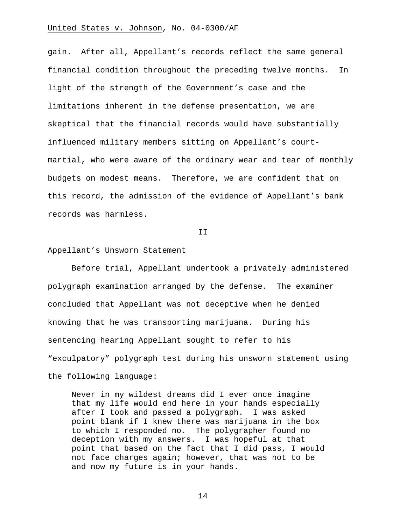gain. After all, Appellant's records reflect the same general financial condition throughout the preceding twelve months. In light of the strength of the Government's case and the limitations inherent in the defense presentation, we are skeptical that the financial records would have substantially influenced military members sitting on Appellant's courtmartial, who were aware of the ordinary wear and tear of monthly budgets on modest means. Therefore, we are confident that on this record, the admission of the evidence of Appellant's bank records was harmless.

II

### Appellant's Unsworn Statement

 Before trial, Appellant undertook a privately administered polygraph examination arranged by the defense. The examiner concluded that Appellant was not deceptive when he denied knowing that he was transporting marijuana. During his sentencing hearing Appellant sought to refer to his "exculpatory" polygraph test during his unsworn statement using the following language:

Never in my wildest dreams did I ever once imagine that my life would end here in your hands especially after I took and passed a polygraph. I was asked point blank if I knew there was marijuana in the box to which I responded no. The polygrapher found no deception with my answers. I was hopeful at that point that based on the fact that I did pass, I would not face charges again; however, that was not to be and now my future is in your hands.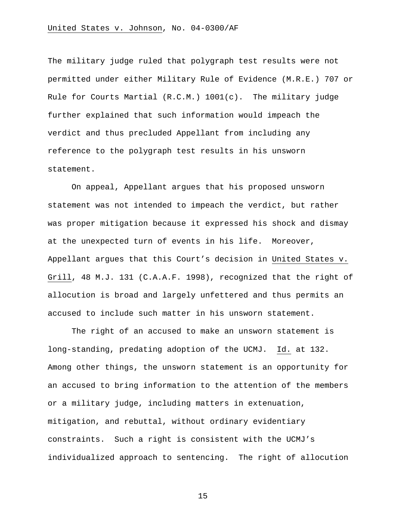The military judge ruled that polygraph test results were not permitted under either Military Rule of Evidence (M.R.E.) 707 or Rule for Courts Martial  $(R.C.M.) 1001(c)$ . The military judge further explained that such information would impeach the verdict and thus precluded Appellant from including any reference to the polygraph test results in his unsworn statement.

On appeal, Appellant argues that his proposed unsworn statement was not intended to impeach the verdict, but rather was proper mitigation because it expressed his shock and dismay at the unexpected turn of events in his life. Moreover, Appellant argues that this Court's decision in United States v. Grill, 48 M.J. 131 (C.A.A.F. 1998), recognized that the right of allocution is broad and largely unfettered and thus permits an accused to include such matter in his unsworn statement.

 The right of an accused to make an unsworn statement is long-standing, predating adoption of the UCMJ. Id. at 132. Among other things, the unsworn statement is an opportunity for an accused to bring information to the attention of the members or a military judge, including matters in extenuation, mitigation, and rebuttal, without ordinary evidentiary constraints. Such a right is consistent with the UCMJ's individualized approach to sentencing. The right of allocution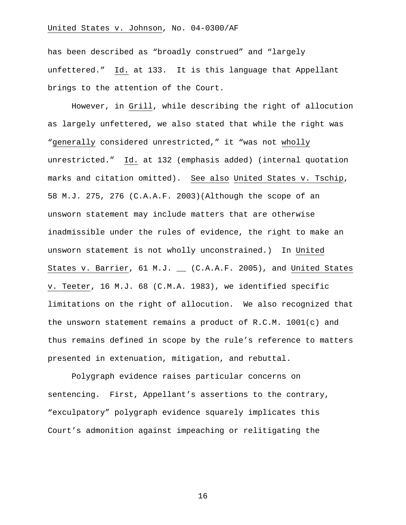has been described as "broadly construed" and "largely unfettered." Id. at 133. It is this language that Appellant brings to the attention of the Court.

However, in Grill, while describing the right of allocution as largely unfettered, we also stated that while the right was "generally considered unrestricted," it "was not wholly unrestricted." Id. at 132 (emphasis added) (internal quotation marks and citation omitted). See also United States v. Tschip, 58 M.J. 275, 276 (C.A.A.F. 2003)(Although the scope of an unsworn statement may include matters that are otherwise inadmissible under the rules of evidence, the right to make an unsworn statement is not wholly unconstrained.) In United States v. Barrier, 61 M.J. \_ (C.A.A.F. 2005), and United States v. Teeter, 16 M.J. 68 (C.M.A. 1983), we identified specific limitations on the right of allocution. We also recognized that the unsworn statement remains a product of R.C.M. 1001(c) and thus remains defined in scope by the rule's reference to matters presented in extenuation, mitigation, and rebuttal.

Polygraph evidence raises particular concerns on sentencing. First, Appellant's assertions to the contrary, "exculpatory" polygraph evidence squarely implicates this Court's admonition against impeaching or relitigating the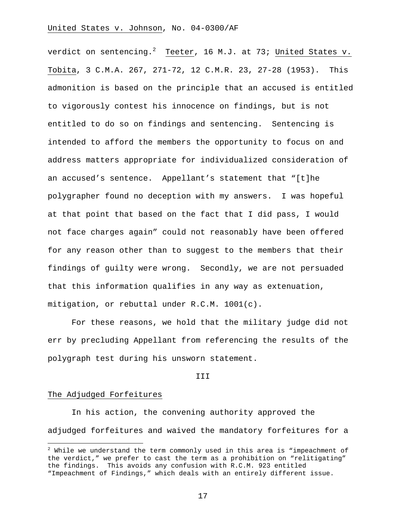verdict on sentencing. $^2$  Teeter, 16 M.J. at 73; United States v. Tobita, 3 C.M.A. 267, 271-72, 12 C.M.R. 23, 27-28 (1953). This admonition is based on the principle that an accused is entitled to vigorously contest his innocence on findings, but is not entitled to do so on findings and sentencing. Sentencing is intended to afford the members the opportunity to focus on and address matters appropriate for individualized consideration of an accused's sentence. Appellant's statement that "[t]he polygrapher found no deception with my answers. I was hopeful at that point that based on the fact that I did pass, I would not face charges again" could not reasonably have been offered for any reason other than to suggest to the members that their findings of guilty were wrong. Secondly, we are not persuaded that this information qualifies in any way as extenuation, mitigation, or rebuttal under R.C.M. 1001(c).

For these reasons, we hold that the military judge did not err by precluding Appellant from referencing the results of the polygraph test during his unsworn statement.

#### III

#### The Adjudged Forfeitures

i

 In his action, the convening authority approved the adjudged forfeitures and waived the mandatory forfeitures for a

 $^2$  While we understand the term commonly used in this area is "impeachment of the verdict," we prefer to cast the term as a prohibition on "relitigating" the findings. This avoids any confusion with R.C.M. 923 entitled "Impeachment of Findings," which deals with an entirely different issue.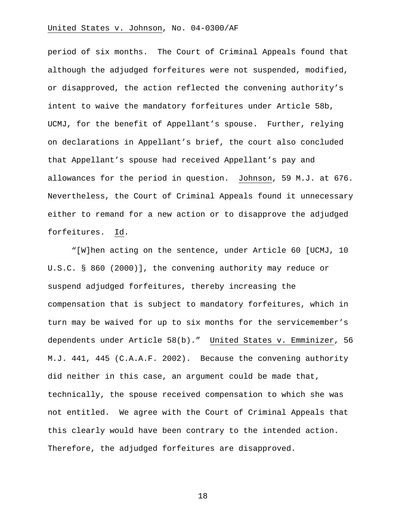period of six months. The Court of Criminal Appeals found that although the adjudged forfeitures were not suspended, modified, or disapproved, the action reflected the convening authority's intent to waive the mandatory forfeitures under Article 58b, UCMJ, for the benefit of Appellant's spouse. Further, relying on declarations in Appellant's brief, the court also concluded that Appellant's spouse had received Appellant's pay and allowances for the period in question. Johnson, 59 M.J. at 676. Nevertheless, the Court of Criminal Appeals found it unnecessary either to remand for a new action or to disapprove the adjudged forfeitures. Id.

 "[W]hen acting on the sentence, under Article 60 [UCMJ, 10 U.S.C. § 860 (2000)], the convening authority may reduce or suspend adjudged forfeitures, thereby increasing the compensation that is subject to mandatory forfeitures, which in turn may be waived for up to six months for the servicemember's dependents under Article 58(b)." United States v. Emminizer, 56 M.J. 441, 445 (C.A.A.F. 2002). Because the convening authority did neither in this case, an argument could be made that, technically, the spouse received compensation to which she was not entitled. We agree with the Court of Criminal Appeals that this clearly would have been contrary to the intended action. Therefore, the adjudged forfeitures are disapproved.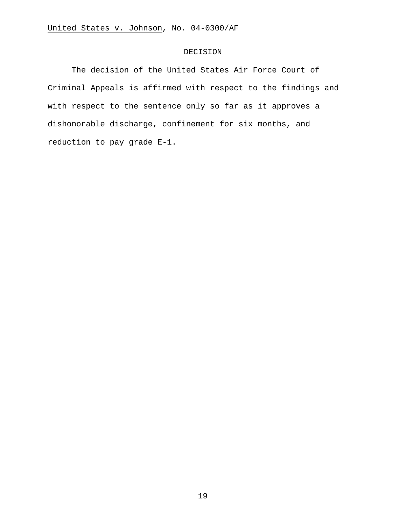### DECISION

The decision of the United States Air Force Court of Criminal Appeals is affirmed with respect to the findings and with respect to the sentence only so far as it approves a dishonorable discharge, confinement for six months, and reduction to pay grade E-1.